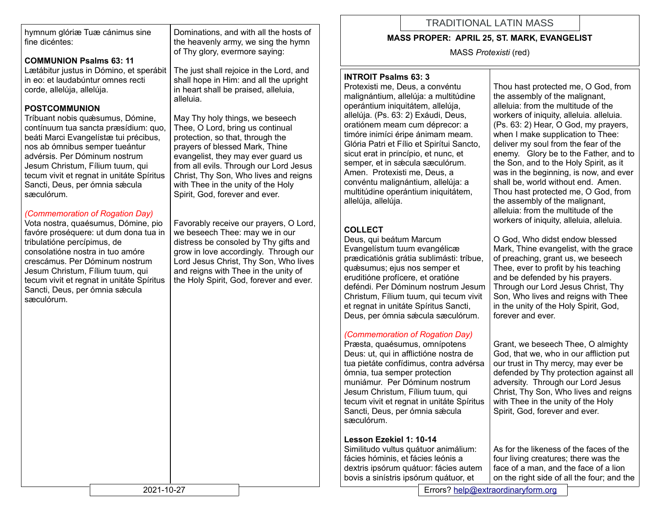hymnum glóriæ Tuæ cánimus sine fine dicéntes:

## **COMMUNION Psalms 63: 11**

Lætábitur justus in Dómino, et sperábit in eo: et laudabúntur omnes recti corde, allelúja, allelúja.

### **POSTCOMMUNION**

Tríbuant nobis quǽsumus, Dómine, contínuum tua sancta præsídium: quo, beáti Marci Evangelístæ tui précibus, nos ab ómnibus semper tueántur advérsis. Per Dóminum nostrum Jesum Christum, Fílium tuum, qui tecum vivit et regnat in unitáte Spíritus Sancti, Deus, per ómnia sæcula sæculórum.

#### *(Commemoration of Rogation Day)*

Vota nostra, quaésumus, Dómine, pio favóre proséquere: ut dum dona tua in tribulatióne percípimus, de consolatióne nostra in tuo amóre crescámus. Per Dóminum nostrum Jesum Christum, Fílium tuum, qui tecum vivit et regnat in unitáte Spíritus Sancti, Deus, per ómnia sæcula sæculórum.

Dominations, and with all the hosts of the heavenly army, we sing the hymn of Thy glory, evermore saying:

The just shall rejoice in the Lord, and shall hope in Him: and all the upright in heart shall be praised, alleluia, alleluia.

May Thy holy things, we beseech Thee, O Lord, bring us continual protection, so that, through the prayers of blessed Mark, Thine evangelist, they may ever guard us from all evils. Through our Lord Jesus Christ, Thy Son, Who lives and reigns with Thee in the unity of the Holy Spirit, God, forever and ever.

Favorably receive our prayers, O Lord, we beseech Thee: may we in our distress be consoled by Thy gifts and grow in love accordingly. Through our Lord Jesus Christ, Thy Son, Who lives and reigns with Thee in the unity of the Holy Spirit, God, forever and ever.

# TRADITIONAL LATIN MASS

#### **MASS PROPER: APRIL 25, ST. MARK, EVANGELIST**

MASS *Protexisti* (red)

#### **INTROIT Psalms 63: 3**

Protexisti me, Deus, a convéntu malignántium, allelúja: a multitúdine operántium iniquitátem, allelúja, allelúja. (Ps. 63: 2) Exáudi, Deus, oratiónem meam cum déprecor: a timóre inimíci éripe ánimam meam. Glória Patri et Fílio et Spirítui Sancto, sicut erat in princípio, et nunc, et semper, et in sæcula sæculórum. Amen. Protexisti me, Deus, a convéntu malignántium, allelúja: a multitúdine operántium iniquitátem, allelúja, allelúja.

## **COLLECT**

Deus, qui beátum Marcum Evangelístum tuum evangélicæ prædicatiónis grátia sublimásti: tríbue, quǽsumus; ejus nos semper et eruditióne profícere, et oratióne deféndi. Per Dóminum nostrum Jesum Christum, Fílium tuum, qui tecum vivit et regnat in unitáte Spíritus Sancti, Deus, per ómnia sǽcula sæculórum.

## *(Commemoration of Rogation Day)*

Præsta, quaésumus, omnípotens Deus: ut, qui in afflictióne nostra de tua pietáte confídimus, contra advérsa ómnia, tua semper protection muniámur. Per Dóminum nostrum Jesum Christum, Fílium tuum, qui tecum vivit et regnat in unitáte Spíritus Sancti, Deus, per ómnia sæcula sæculórum.

### **Lesson Ezekiel 1: 10-14**

Similitudo vultus quátuor animálium: fácies hóminis, et fácies leónis a dextris ipsórum quátuor: fácies autem bovis a sinístris ipsórum quátuor, et

Thou hast protected me, O God, from the assembly of the malignant, alleluia: from the multitude of the workers of iniquity, alleluia. alleluia. (Ps. 63: 2) Hear, O God, my prayers, when I make supplication to Thee: deliver my soul from the fear of the enemy. Glory be to the Father, and to the Son, and to the Holy Spirit, as it was in the beginning, is now, and ever shall be, world without end. Amen. Thou hast protected me, O God, from the assembly of the malignant, alleluia: from the multitude of the workers of iniquity, alleluia, alleluia.

O God, Who didst endow blessed Mark, Thine evangelist, with the grace of preaching, grant us, we beseech Thee, ever to profit by his teaching and be defended by his prayers. Through our Lord Jesus Christ, Thy Son, Who lives and reigns with Thee in the unity of the Holy Spirit, God, forever and ever.

Grant, we beseech Thee, O almighty God, that we, who in our affliction put our trust in Thy mercy, may ever be defended by Thy protection against all adversity. Through our Lord Jesus Christ, Thy Son, Who lives and reigns with Thee in the unity of the Holy Spirit, God, forever and ever.

As for the likeness of the faces of the four living creatures; there was the face of a man, and the face of a lion on the right side of all the four; and the

2021-10-27 Errors? [help@extraordinaryform.org](mailto:help@extraordinaryform.org)